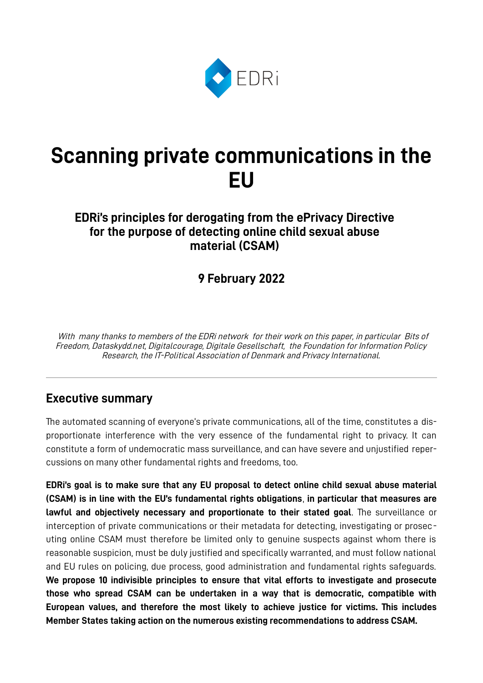

# **Scanning private communications in the EU**

## **EDRi's principles for derogating from the ePrivacy Directive for the purpose of detecting online child sexual abuse material (CSAM)**

# **9 February 2022**

 With many thanks to members of the EDRi network for their work on this paper, in particular Bits of Freedom, Dataskydd.net, Digitalcourage, Digitale Gesellschaft, the Foundation for Information Policy Research, the IT-Political Association of Denmark and Privacy International.

### **Executive summary**

The automated scanning of everyone's private communications, all of the time, constitutes a disproportionate interference with the very essence of the fundamental right to privacy. It can constitute a form of undemocratic mass surveillance, and can have severe and unjustified repercussions on many other fundamental rights and freedoms, too.

**EDRi's goal is to make sure that any EU proposal to detect online child sexual abuse material (CSAM) is in line with the EU's fundamental rights obligations**, **in particular that measures are lawful and objectively necessary and proportionate to their stated goal**. The surveillance or interception of private communications or their metadata for detecting, investigating or prosecuting online CSAM must therefore be limited only to genuine suspects against whom there is reasonable suspicion, must be duly justified and specifically warranted, and must follow national and EU rules on policing, due process, good administration and fundamental rights safeguards. **We propose 10 indivisible principles to ensure that vital efforts to investigate and prosecute those who spread CSAM can be undertaken in a way that is democratic, compatible with European values, and therefore the most likely to achieve justice for victims. This includes Member States taking action on the numerous existing recommendations to address CSAM.**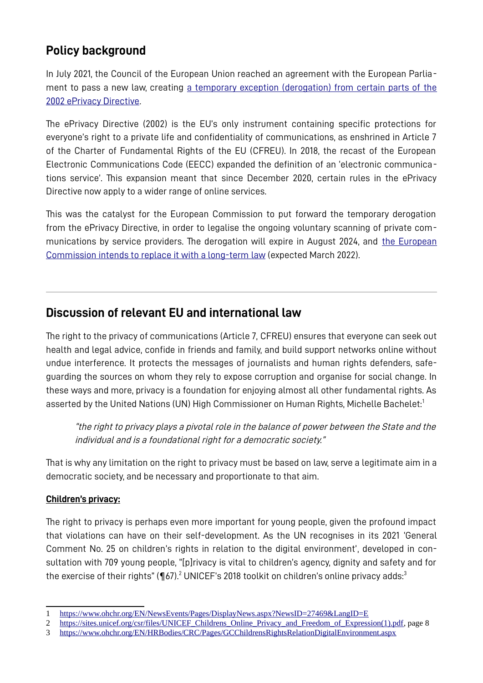# **Policy background**

In July 2021, the Council of the European Union reached an agreement with the European Parliament to pass a new law, creating [a temporary exception \(derogation\) from certain parts of the](https://eur-lex.europa.eu/legal-content/EN/TXT/PDF/?uri=CELEX:32021R1232) [2002 ePrivacy Directive](https://eur-lex.europa.eu/legal-content/EN/TXT/PDF/?uri=CELEX:32021R1232).

The ePrivacy Directive (2002) is the EU's only instrument containing specific protections for everyone's right to a private life and confidentiality of communications, as enshrined in Article 7 of the Charter of Fundamental Rights of the EU (CFREU). In 2018, the recast of the European Electronic Communications Code (EECC) expanded the definition of an 'electronic communications service'. This expansion meant that since December 2020, certain rules in the ePrivacy Directive now apply to a wider range of online services.

This was the catalyst for the European Commission to put forward the temporary derogation from the ePrivacy Directive, in order to legalise the ongoing voluntary scanning of private communications by service providers. The derogation will expire in August 2024, and [the European](../../../../Documents/The%20derogation%20will%20expire%20in%20August%202024,%20and%20the%20European%20Commission%20intends%20to%20replace%20it%20with%20a%20long-term%20version%20which%20they%20will%20put%20forward%20in%202022.)  [Commission intends to replace it with a long-term law](../../../../Documents/The%20derogation%20will%20expire%20in%20August%202024,%20and%20the%20European%20Commission%20intends%20to%20replace%20it%20with%20a%20long-term%20version%20which%20they%20will%20put%20forward%20in%202022.) (expected March 2022).

# **Discussion of relevant EU and international law**

The right to the privacy of communications (Article 7, CFREU) ensures that everyone can seek out health and legal advice, confide in friends and family, and build support networks online without undue interference. It protects the messages of journalists and human rights defenders, safeguarding the sources on whom they rely to expose corruption and organise for social change. In these ways and more, privacy is a foundation for enjoying almost all other fundamental rights. As asserted by the United Nations (UN) High Commissioner on Human Rights, Michelle Bachelet:<sup>[1](#page-1-1)</sup>

<span id="page-1-4"></span><span id="page-1-0"></span>"the right to privacy plays a pivotal role in the balance of power between the State and the individual and is a foundational right for a democratic society."

That is why any limitation on the right to privacy must be based on law, serve a legitimate aim in a democratic society, and be necessary and proportionate to that aim.

#### **Children 's privacy:**

The right to privacy is perhaps even more important for young people, given the profound impact that violations can have on their self-development. As the UN recognises in its 2021 'General Comment No. 25 on children's rights in relation to the digital environment', developed in consultation with 709 young people, "[p]rivacy is vital to children's agency, dignity and safety and for the exercise of their rights" ( $\P$ 67). $^2$  $^2$  UNICEF's 2018 toolkit on children's online privacy adds: $^3$  $^3$ 

<span id="page-1-2"></span><span id="page-1-1"></span>[<sup>1</sup>](#page-1-0)<https://www.ohchr.org/EN/NewsEvents/Pages/DisplayNews.aspx?NewsID=27469&LangID=E>

<span id="page-1-3"></span>[<sup>2</sup>](#page-1-2) [https://sites.unicef.org/csr/files/UNICEF\\_Childrens\\_Online\\_Privacy\\_and\\_Freedom\\_of\\_Expression\(1\).pdf,](https://sites.unicef.org/csr/files/UNICEF_Childrens_Online_Privacy_and_Freedom_of_Expression(1).pdf) page 8

<span id="page-1-5"></span>[<sup>3</sup>](#page-1-4) <https://www.ohchr.org/EN/HRBodies/CRC/Pages/GCChildrensRightsRelationDigitalEnvironment.aspx>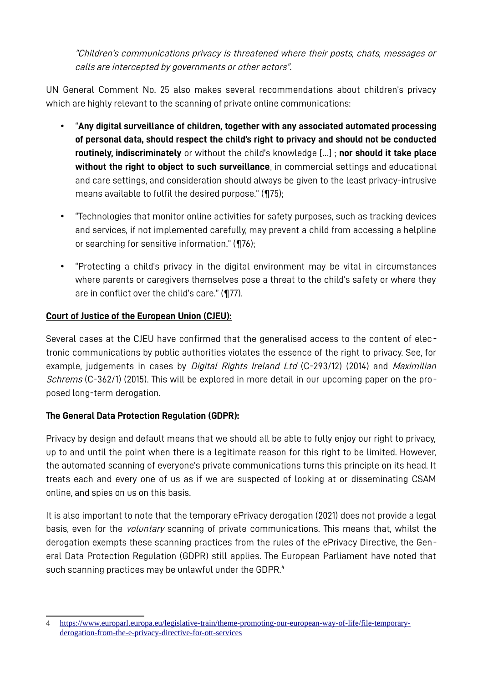"Children's communications privacy is threatened where their posts, chats, messages or calls are intercepted by governments or other actors".

UN General Comment No. 25 also makes several recommendations about children's privacy which are highly relevant to the scanning of private online communications:

- "**Any digital surveillance of children, together with any associated automated processing of personal data, should respect the child's right to privacy and should not be conducted routinely, indiscriminately** or without the child's knowledge […] ; **nor should it take place without the right to object to such surveillance**, in commercial settings and educational and care settings, and consideration should always be given to the least privacy-intrusive means available to fulfil the desired purpose." (¶75);
- "Technologies that monitor online activities for safety purposes, such as tracking devices and services, if not implemented carefully, may prevent a child from accessing a helpline or searching for sensitive information." (¶76);
- "Protecting a child's privacy in the digital environment may be vital in circumstances where parents or caregivers themselves pose a threat to the child's safety or where they are in conflict over the child's care." (¶77).

#### **Court of Justice of the European Union (CJEU):**

Several cases at the CJEU have confirmed that the generalised access to the content of electronic communications by public authorities violates the essence of the right to privacy. See, for example, judgements in cases by *Digital Rights Ireland Ltd* (C-293/12) (2014) and *Maximilian* Schrems (C-362/1) (2015). This will be explored in more detail in our upcoming paper on the proposed long-term derogation.

#### **The General Data Protection Regulation (GDPR):**

Privacy by design and default means that we should all be able to fully enjoy our right to privacy, up to and until the point when there is a legitimate reason for this right to be limited. However, the automated scanning of everyone's private communications turns this principle on its head. It treats each and every one of us as if we are suspected of looking at or disseminating CSAM online, and spies on us on this basis.

<span id="page-2-0"></span>It is also important to note that the temporary ePrivacy derogation (2021) does not provide a legal basis, even for the *voluntary* scanning of private communications. This means that, whilst the derogation exempts these scanning practices from the rules of the ePrivacy Directive, the General Data Protection Regulation (GDPR) still applies. The European Parliament have noted that such scanning practices may be unlawful under the GDPR.<sup>[4](#page-2-1)</sup>

<span id="page-2-1"></span>[<sup>4</sup>](#page-2-0) [https://www.europarl.europa.eu/legislative-train/theme-promoting-our-european-way-of-life/file-temporary](https://www.europarl.europa.eu/legislative-train/theme-promoting-our-european-way-of-life/file-temporary-derogation-from-the-e-privacy-directive-for-ott-services)[derogation-from-the-e-privacy-directive-for-ott-services](https://www.europarl.europa.eu/legislative-train/theme-promoting-our-european-way-of-life/file-temporary-derogation-from-the-e-privacy-directive-for-ott-services)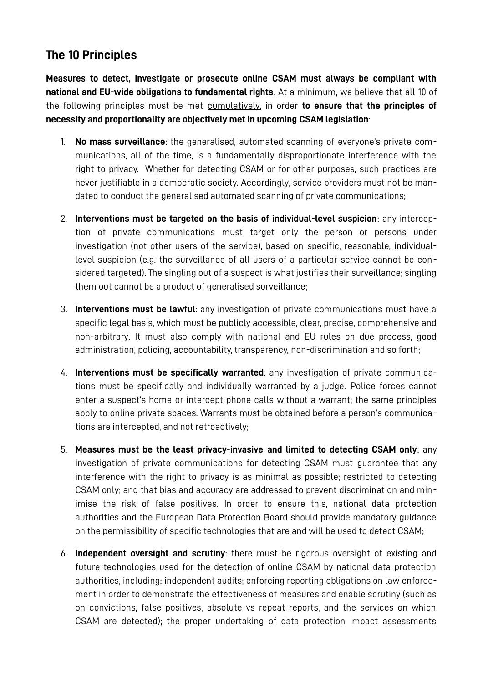## **The 10 Principles**

**Measures to detect, investigate or prosecute online CSAM must always be compliant with national and EU-wide obligations to fundamental rights**. At a minimum, we believe that all 10 of the following principles must be met cumulatively, in order **to ensure that the principles of necessity and proportionality are objectively met in upcoming CSAM legislation**:

- 1. **No mass surveillance**: the generalised, automated scanning of everyone's private communications, all of the time, is a fundamentally disproportionate interference with the right to privacy. Whether for detecting CSAM or for other purposes, such practices are never justifiable in a democratic society. Accordingly, service providers must not be mandated to conduct the generalised automated scanning of private communications;
- 2. **Interventions must be targeted on the basis of individual-level suspicion**: any interception of private communications must target only the person or persons under investigation (not other users of the service), based on specific, reasonable, individuallevel suspicion (e.g. the surveillance of all users of a particular service cannot be considered targeted). The singling out of a suspect is what justifies their surveillance; singling them out cannot be a product of generalised surveillance;
- 3. **Interventions must be lawful**: any investigation of private communications must have a specific legal basis, which must be publicly accessible, clear, precise, comprehensive and non-arbitrary. It must also comply with national and EU rules on due process, good administration, policing, accountability, transparency, non-discrimination and so forth;
- 4. **Interventions must be specifically warranted**: any investigation of private communications must be specifically and individually warranted by a judge. Police forces cannot enter a suspect's home or intercept phone calls without a warrant; the same principles apply to online private spaces. Warrants must be obtained before a person's communications are intercepted, and not retroactively;
- 5. **Measures must be the least privacy-invasive and limited to detecting CSAM only**: any investigation of private communications for detecting CSAM must guarantee that any interference with the right to privacy is as minimal as possible; restricted to detecting CSAM only; and that bias and accuracy are addressed to prevent discrimination and minimise the risk of false positives. In order to ensure this, national data protection authorities and the European Data Protection Board should provide mandatory guidance on the permissibility of specific technologies that are and will be used to detect CSAM;
- 6. **Independent oversight and scrutiny**: there must be rigorous oversight of existing and future technologies used for the detection of online CSAM by national data protection authorities, including: independent audits; enforcing reporting obligations on law enforcement in order to demonstrate the effectiveness of measures and enable scrutiny (such as on convictions, false positives, absolute vs repeat reports, and the services on which CSAM are detected); the proper undertaking of data protection impact assessments